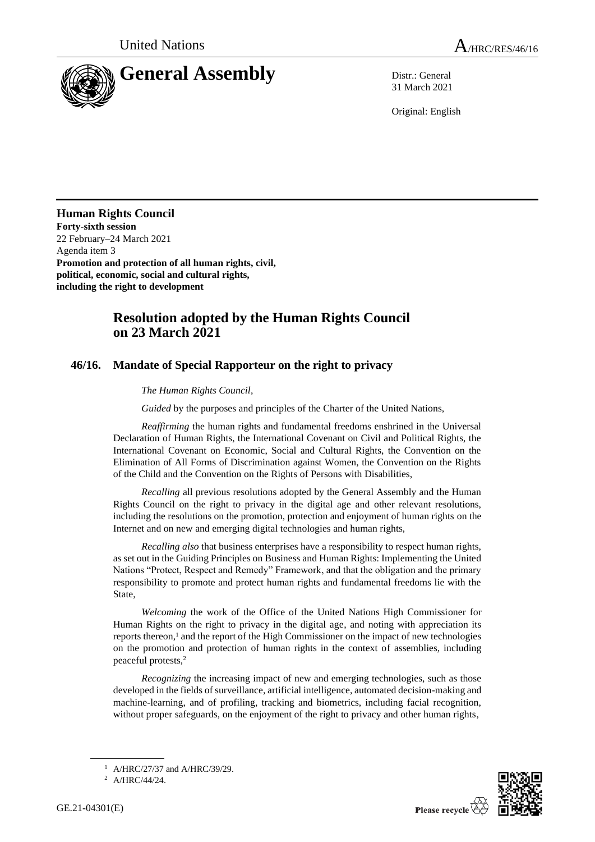

31 March 2021

Original: English

**Human Rights Council Forty-sixth session** 22 February–24 March 2021 Agenda item 3 **Promotion and protection of all human rights, civil, political, economic, social and cultural rights, including the right to development**

## **Resolution adopted by the Human Rights Council on 23 March 2021**

## **46/16. Mandate of Special Rapporteur on the right to privacy**

## *The Human Rights Council*,

*Guided* by the purposes and principles of the Charter of the United Nations,

*Reaffirming* the human rights and fundamental freedoms enshrined in the Universal Declaration of Human Rights, the International Covenant on Civil and Political Rights, the International Covenant on Economic, Social and Cultural Rights, the Convention on the Elimination of All Forms of Discrimination against Women, the Convention on the Rights of the Child and the Convention on the Rights of Persons with Disabilities,

*Recalling* all previous resolutions adopted by the General Assembly and the Human Rights Council on the right to privacy in the digital age and other relevant resolutions, including the resolutions on the promotion, protection and enjoyment of human rights on the Internet and on new and emerging digital technologies and human rights,

*Recalling also* that business enterprises have a responsibility to respect human rights, as set out in the Guiding Principles on Business and Human Rights: Implementing the United Nations "Protect, Respect and Remedy" Framework, and that the obligation and the primary responsibility to promote and protect human rights and fundamental freedoms lie with the State,

*Welcoming* the work of the Office of the United Nations High Commissioner for Human Rights on the right to privacy in the digital age, and noting with appreciation its reports thereon,<sup>1</sup> and the report of the High Commissioner on the impact of new technologies on the promotion and protection of human rights in the context of assemblies, including peaceful protests,<sup>2</sup>

*Recognizing* the increasing impact of new and emerging technologies, such as those developed in the fields of surveillance, artificial intelligence, automated decision-making and machine-learning, and of profiling, tracking and biometrics, including facial recognition, without proper safeguards, on the enjoyment of the right to privacy and other human rights,



<sup>1</sup> A/HRC/27/37 and A/HRC/39/29.

<sup>2</sup> A/HRC/44/24.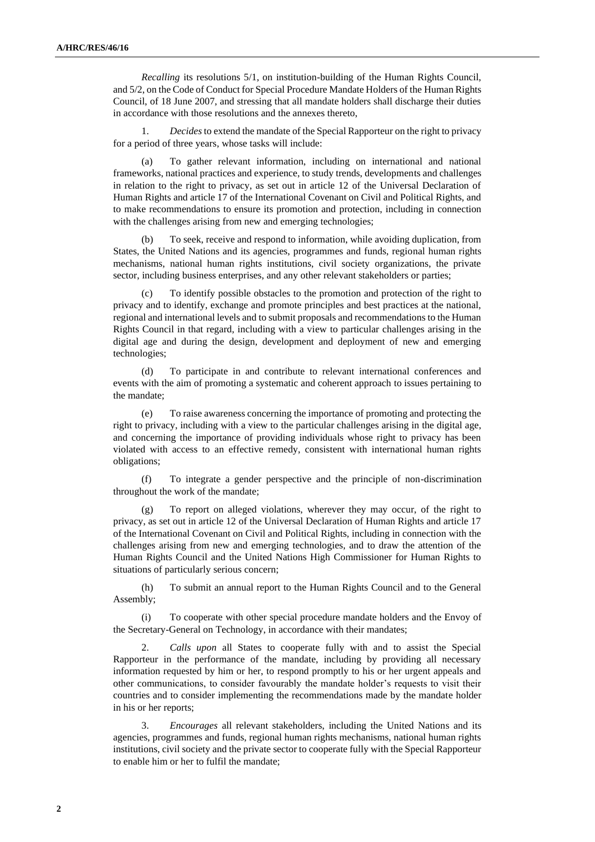*Recalling* its resolutions 5/1, on institution-building of the Human Rights Council, and 5/2, on the Code of Conduct for Special Procedure Mandate Holders of the Human Rights Council, of 18 June 2007, and stressing that all mandate holders shall discharge their duties in accordance with those resolutions and the annexes thereto,

1. *Decides* to extend the mandate of the Special Rapporteur on the right to privacy for a period of three years, whose tasks will include:

(a) To gather relevant information, including on international and national frameworks, national practices and experience, to study trends, developments and challenges in relation to the right to privacy, as set out in article 12 of the Universal Declaration of Human Rights and article 17 of the International Covenant on Civil and Political Rights, and to make recommendations to ensure its promotion and protection, including in connection with the challenges arising from new and emerging technologies;

(b) To seek, receive and respond to information, while avoiding duplication, from States, the United Nations and its agencies, programmes and funds, regional human rights mechanisms, national human rights institutions, civil society organizations, the private sector, including business enterprises, and any other relevant stakeholders or parties;

(c) To identify possible obstacles to the promotion and protection of the right to privacy and to identify, exchange and promote principles and best practices at the national, regional and international levels and to submit proposals and recommendations to the Human Rights Council in that regard, including with a view to particular challenges arising in the digital age and during the design, development and deployment of new and emerging technologies;

(d) To participate in and contribute to relevant international conferences and events with the aim of promoting a systematic and coherent approach to issues pertaining to the mandate;

(e) To raise awareness concerning the importance of promoting and protecting the right to privacy, including with a view to the particular challenges arising in the digital age, and concerning the importance of providing individuals whose right to privacy has been violated with access to an effective remedy, consistent with international human rights obligations;

(f) To integrate a gender perspective and the principle of non-discrimination throughout the work of the mandate;

To report on alleged violations, wherever they may occur, of the right to privacy, as set out in article 12 of the Universal Declaration of Human Rights and article 17 of the International Covenant on Civil and Political Rights, including in connection with the challenges arising from new and emerging technologies, and to draw the attention of the Human Rights Council and the United Nations High Commissioner for Human Rights to situations of particularly serious concern;

(h) To submit an annual report to the Human Rights Council and to the General Assembly;

(i) To cooperate with other special procedure mandate holders and the Envoy of the Secretary-General on Technology, in accordance with their mandates;

2. *Calls upon* all States to cooperate fully with and to assist the Special Rapporteur in the performance of the mandate, including by providing all necessary information requested by him or her, to respond promptly to his or her urgent appeals and other communications, to consider favourably the mandate holder's requests to visit their countries and to consider implementing the recommendations made by the mandate holder in his or her reports;

3. *Encourages* all relevant stakeholders, including the United Nations and its agencies, programmes and funds, regional human rights mechanisms, national human rights institutions, civil society and the private sector to cooperate fully with the Special Rapporteur to enable him or her to fulfil the mandate;